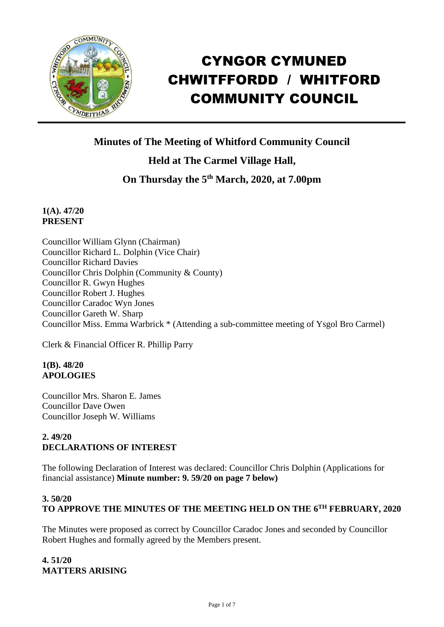

# CYNGOR CYMUNED CHWITFFORDD / WHITFORD COMMUNITY COUNCIL

**Minutes of The Meeting of Whitford Community Council**

**Held at The Carmel Village Hall,**

**On Thursday the 5 th March, 2020, at 7.00pm**

# **1(A). 47/20 PRESENT**

Councillor William Glynn (Chairman) Councillor Richard L. Dolphin (Vice Chair) Councillor Richard Davies Councillor Chris Dolphin (Community & County) Councillor R. Gwyn Hughes Councillor Robert J. Hughes Councillor Caradoc Wyn Jones Councillor Gareth W. Sharp Councillor Miss. Emma Warbrick \* (Attending a sub-committee meeting of Ysgol Bro Carmel)

Clerk & Financial Officer R. Phillip Parry

# **1(B). 48/20 APOLOGIES**

Councillor Mrs. Sharon E. James Councillor Dave Owen Councillor Joseph W. Williams

# **2. 49/20 DECLARATIONS OF INTEREST**

The following Declaration of Interest was declared: Councillor Chris Dolphin (Applications for financial assistance) **Minute number: 9. 59/20 on page 7 below)**

# **3. 50/20 TO APPROVE THE MINUTES OF THE MEETING HELD ON THE 6 TH FEBRUARY, 2020**

The Minutes were proposed as correct by Councillor Caradoc Jones and seconded by Councillor Robert Hughes and formally agreed by the Members present.

# **4. 51/20 MATTERS ARISING**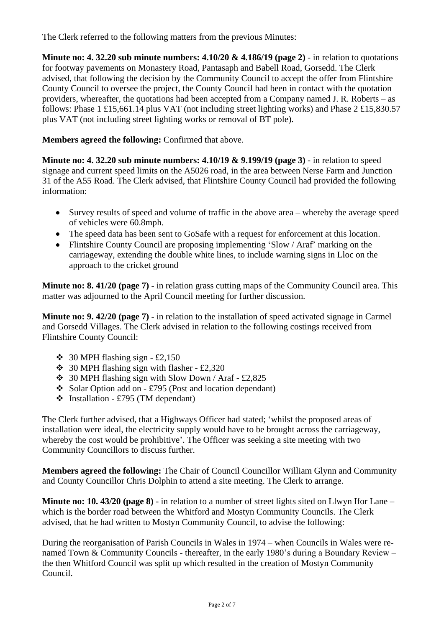The Clerk referred to the following matters from the previous Minutes:

**Minute no: 4. 32.20 sub minute numbers: 4.10/20 & 4.186/19 (page 2)** - in relation to quotations for footway pavements on Monastery Road, Pantasaph and Babell Road, Gorsedd. The Clerk advised, that following the decision by the Community Council to accept the offer from Flintshire County Council to oversee the project, the County Council had been in contact with the quotation providers, whereafter, the quotations had been accepted from a Company named J. R. Roberts – as follows: Phase 1 £15,661.14 plus VAT (not including street lighting works) and Phase 2 £15,830.57 plus VAT (not including street lighting works or removal of BT pole).

**Members agreed the following:** Confirmed that above.

**Minute no: 4. 32.20 sub minute numbers: 4.10/19 & 9.199/19 (page 3)** - in relation to speed signage and current speed limits on the A5026 road, in the area between Nerse Farm and Junction 31 of the A55 Road. The Clerk advised, that Flintshire County Council had provided the following information:

- Survey results of speed and volume of traffic in the above area whereby the average speed of vehicles were 60.8mph.
- The speed data has been sent to GoSafe with a request for enforcement at this location.
- Flintshire County Council are proposing implementing 'Slow / Araf' marking on the carriageway, extending the double white lines, to include warning signs in Lloc on the approach to the cricket ground

**Minute no: 8. 41/20 (page 7)** - in relation grass cutting maps of the Community Council area. This matter was adjourned to the April Council meeting for further discussion.

**Minute no: 9. 42/20 (page 7)** - in relation to the installation of speed activated signage in Carmel and Gorsedd Villages. The Clerk advised in relation to the following costings received from Flintshire County Council:

- $\div$  30 MPH flashing sign £2,150
- $\div$  30 MPH flashing sign with flasher £2,320
- ❖ 30 MPH flashing sign with Slow Down / Araf £2,825
- ❖ Solar Option add on £795 (Post and location dependant)
- $\div$  Installation £795 (TM dependant)

The Clerk further advised, that a Highways Officer had stated; 'whilst the proposed areas of installation were ideal, the electricity supply would have to be brought across the carriageway, whereby the cost would be prohibitive'. The Officer was seeking a site meeting with two Community Councillors to discuss further.

**Members agreed the following:** The Chair of Council Councillor William Glynn and Community and County Councillor Chris Dolphin to attend a site meeting. The Clerk to arrange.

**Minute no: 10. 43/20 (page 8)** - in relation to a number of street lights sited on Llwyn Ifor Lane – which is the border road between the Whitford and Mostyn Community Councils. The Clerk advised, that he had written to Mostyn Community Council, to advise the following:

During the reorganisation of Parish Councils in Wales in 1974 – when Councils in Wales were renamed Town & Community Councils - thereafter, in the early 1980's during a Boundary Review – the then Whitford Council was split up which resulted in the creation of Mostyn Community Council.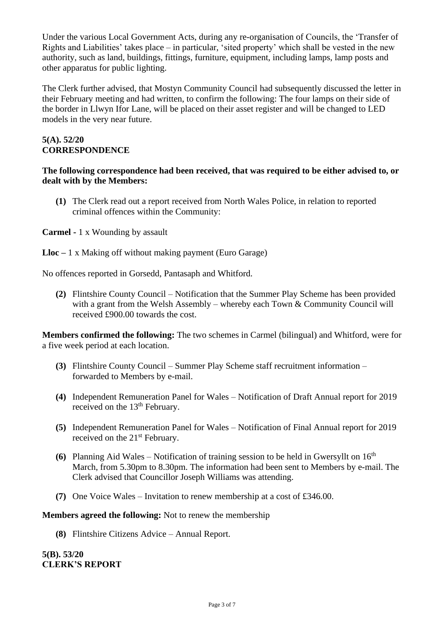Under the various Local Government Acts, during any re-organisation of Councils, the 'Transfer of Rights and Liabilities' takes place – in particular, 'sited property' which shall be vested in the new authority, such as land, buildings, fittings, furniture, equipment, including lamps, lamp posts and other apparatus for public lighting.

The Clerk further advised, that Mostyn Community Council had subsequently discussed the letter in their February meeting and had written, to confirm the following: The four lamps on their side of the border in Llwyn Ifor Lane, will be placed on their asset register and will be changed to LED models in the very near future.

## **5(A). 52/20 CORRESPONDENCE**

#### **The following correspondence had been received, that was required to be either advised to, or dealt with by the Members:**

**(1)** The Clerk read out a report received from North Wales Police, in relation to reported criminal offences within the Community:

## **Carmel -** 1 x Wounding by assault

**Lloc –** 1 x Making off without making payment (Euro Garage)

No offences reported in Gorsedd, Pantasaph and Whitford.

**(2)** Flintshire County Council – Notification that the Summer Play Scheme has been provided with a grant from the Welsh Assembly – whereby each Town & Community Council will received £900.00 towards the cost.

**Members confirmed the following:** The two schemes in Carmel (bilingual) and Whitford, were for a five week period at each location.

- **(3)** Flintshire County Council Summer Play Scheme staff recruitment information forwarded to Members by e-mail.
- **(4)** Independent Remuneration Panel for Wales Notification of Draft Annual report for 2019 received on the 13<sup>th</sup> February.
- **(5)** Independent Remuneration Panel for Wales Notification of Final Annual report for 2019 received on the 21<sup>st</sup> February.
- **(6)** Planning Aid Wales Notification of training session to be held in Gwersyllt on  $16<sup>th</sup>$ March, from 5.30pm to 8.30pm. The information had been sent to Members by e-mail. The Clerk advised that Councillor Joseph Williams was attending.
- **(7)** One Voice Wales Invitation to renew membership at a cost of £346.00.

#### **Members agreed the following:** Not to renew the membership

**(8)** Flintshire Citizens Advice – Annual Report.

**5(B). 53/20 CLERK'S REPORT**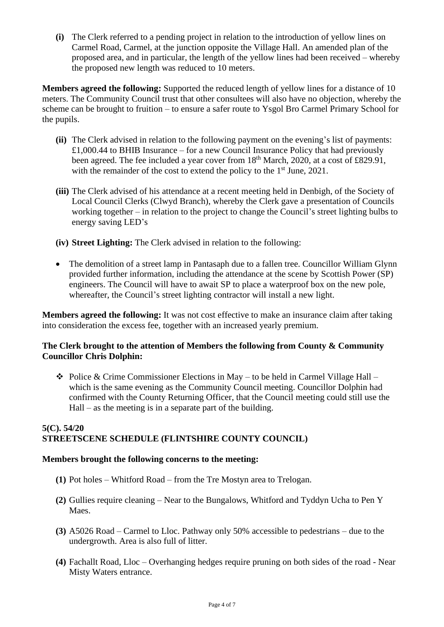**(i)** The Clerk referred to a pending project in relation to the introduction of yellow lines on Carmel Road, Carmel, at the junction opposite the Village Hall. An amended plan of the proposed area, and in particular, the length of the yellow lines had been received – whereby the proposed new length was reduced to 10 meters.

**Members agreed the following:** Supported the reduced length of yellow lines for a distance of 10 meters. The Community Council trust that other consultees will also have no objection, whereby the scheme can be brought to fruition – to ensure a safer route to Ysgol Bro Carmel Primary School for the pupils.

- **(ii)** The Clerk advised in relation to the following payment on the evening's list of payments: £1,000.44 to BHIB Insurance – for a new Council Insurance Policy that had previously been agreed. The fee included a year cover from 18<sup>th</sup> March, 2020, at a cost of £829.91, with the remainder of the cost to extend the policy to the 1<sup>st</sup> June, 2021.
- **(iii)** The Clerk advised of his attendance at a recent meeting held in Denbigh, of the Society of Local Council Clerks (Clwyd Branch), whereby the Clerk gave a presentation of Councils working together – in relation to the project to change the Council's street lighting bulbs to energy saving LED's
- **(iv) Street Lighting:** The Clerk advised in relation to the following:
- The demolition of a street lamp in Pantasaph due to a fallen tree. Councillor William Glynn provided further information, including the attendance at the scene by Scottish Power (SP) engineers. The Council will have to await SP to place a waterproof box on the new pole, whereafter, the Council's street lighting contractor will install a new light.

**Members agreed the following:** It was not cost effective to make an insurance claim after taking into consideration the excess fee, together with an increased yearly premium.

## **The Clerk brought to the attention of Members the following from County & Community Councillor Chris Dolphin:**

 $\triangle$  Police & Crime Commissioner Elections in May – to be held in Carmel Village Hall – which is the same evening as the Community Council meeting. Councillor Dolphin had confirmed with the County Returning Officer, that the Council meeting could still use the Hall – as the meeting is in a separate part of the building.

## **5(C). 54/20 STREETSCENE SCHEDULE (FLINTSHIRE COUNTY COUNCIL)**

#### **Members brought the following concerns to the meeting:**

- **(1)** Pot holes Whitford Road from the Tre Mostyn area to Trelogan.
- **(2)** Gullies require cleaning Near to the Bungalows, Whitford and Tyddyn Ucha to Pen Y Maes.
- **(3)** A5026 Road Carmel to Lloc. Pathway only 50% accessible to pedestrians due to the undergrowth. Area is also full of litter.
- **(4)** Fachallt Road, Lloc Overhanging hedges require pruning on both sides of the road Near Misty Waters entrance.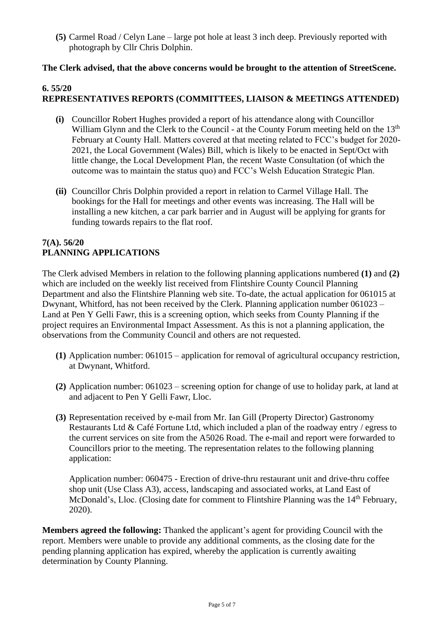**(5)** Carmel Road / Celyn Lane – large pot hole at least 3 inch deep. Previously reported with photograph by Cllr Chris Dolphin.

## **The Clerk advised, that the above concerns would be brought to the attention of StreetScene.**

# **6. 55/20**

# **REPRESENTATIVES REPORTS (COMMITTEES, LIAISON & MEETINGS ATTENDED)**

- **(i)** Councillor Robert Hughes provided a report of his attendance along with Councillor William Glynn and the Clerk to the Council - at the County Forum meeting held on the 13<sup>th</sup> February at County Hall. Matters covered at that meeting related to FCC's budget for 2020- 2021, the Local Government (Wales) Bill, which is likely to be enacted in Sept/Oct with little change, the Local Development Plan, the recent Waste Consultation (of which the outcome was to maintain the status quo) and FCC's Welsh Education Strategic Plan.
- **(ii)** Councillor Chris Dolphin provided a report in relation to Carmel Village Hall. The bookings for the Hall for meetings and other events was increasing. The Hall will be installing a new kitchen, a car park barrier and in August will be applying for grants for funding towards repairs to the flat roof.

## **7(A). 56/20 PLANNING APPLICATIONS**

The Clerk advised Members in relation to the following planning applications numbered **(1)** and **(2)** which are included on the weekly list received from Flintshire County Council Planning Department and also the Flintshire Planning web site. To-date, the actual application for 061015 at Dwynant, Whitford, has not been received by the Clerk. Planning application number 061023 – Land at Pen Y Gelli Fawr, this is a screening option, which seeks from County Planning if the project requires an Environmental Impact Assessment. As this is not a planning application, the observations from the Community Council and others are not requested.

- **(1)** Application number: 061015 application for removal of agricultural occupancy restriction, at Dwynant, Whitford.
- **(2)** Application number: 061023 screening option for change of use to holiday park, at land at and adjacent to Pen Y Gelli Fawr, Lloc.
- **(3)** Representation received by e-mail from Mr. Ian Gill (Property Director) Gastronomy Restaurants Ltd & Café Fortune Ltd, which included a plan of the roadway entry / egress to the current services on site from the A5026 Road. The e-mail and report were forwarded to Councillors prior to the meeting. The representation relates to the following planning application:

Application number: 060475 - Erection of drive-thru restaurant unit and drive-thru coffee shop unit (Use Class A3), access, landscaping and associated works, at Land East of McDonald's, Lloc. (Closing date for comment to Flintshire Planning was the 14<sup>th</sup> February. 2020).

**Members agreed the following:** Thanked the applicant's agent for providing Council with the report. Members were unable to provide any additional comments, as the closing date for the pending planning application has expired, whereby the application is currently awaiting determination by County Planning.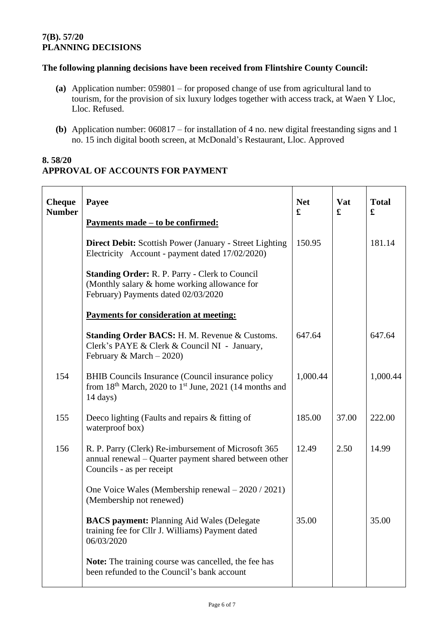## **7(B). 57/20 PLANNING DECISIONS**

## **The following planning decisions have been received from Flintshire County Council:**

- **(a)** Application number: 059801 for proposed change of use from agricultural land to tourism, for the provision of six luxury lodges together with access track, at Waen Y Lloc, Lloc. Refused.
- **(b)** Application number: 060817 for installation of 4 no. new digital freestanding signs and 1 no. 15 inch digital booth screen, at McDonald's Restaurant, Lloc. Approved

# **8. 58/20 APPROVAL OF ACCOUNTS FOR PAYMENT**

| <b>Cheque</b><br><b>Number</b> | Payee<br><u>Payments made – to be confirmed:</u>                                                                                                         | <b>Net</b><br>£ | <b>Vat</b><br>£ | <b>Total</b><br>£ |
|--------------------------------|----------------------------------------------------------------------------------------------------------------------------------------------------------|-----------------|-----------------|-------------------|
|                                | <b>Direct Debit:</b> Scottish Power (January - Street Lighting)<br>Electricity Account - payment dated 17/02/2020)                                       | 150.95          |                 | 181.14            |
|                                | <b>Standing Order: R. P. Parry - Clerk to Council</b><br>(Monthly salary & home working allowance for<br>February) Payments dated 02/03/2020             |                 |                 |                   |
|                                | Payments for consideration at meeting:                                                                                                                   |                 |                 |                   |
|                                | <b>Standing Order BACS: H. M. Revenue &amp; Customs.</b><br>Clerk's PAYE & Clerk & Council NI - January,<br>February & March $-2020$ )                   | 647.64          |                 | 647.64            |
| 154                            | BHIB Councils Insurance (Council insurance policy<br>from 18 <sup>th</sup> March, 2020 to 1 <sup>st</sup> June, 2021 (14 months and<br>$14 \text{ days}$ | 1,000.44        |                 | 1,000.44          |
| 155                            | Deeco lighting (Faults and repairs & fitting of<br>waterproof box)                                                                                       | 185.00          | 37.00           | 222.00            |
| 156                            | R. P. Parry (Clerk) Re-imbursement of Microsoft 365<br>annual renewal – Quarter payment shared between other<br>Councils - as per receipt                | 12.49           | 2.50            | 14.99             |
|                                | One Voice Wales (Membership renewal – 2020 / 2021)<br>(Membership not renewed)                                                                           |                 |                 |                   |
|                                | <b>BACS payment: Planning Aid Wales (Delegate</b><br>training fee for Cllr J. Williams) Payment dated<br>06/03/2020                                      | 35.00           |                 | 35.00             |
|                                | Note: The training course was cancelled, the fee has<br>been refunded to the Council's bank account                                                      |                 |                 |                   |